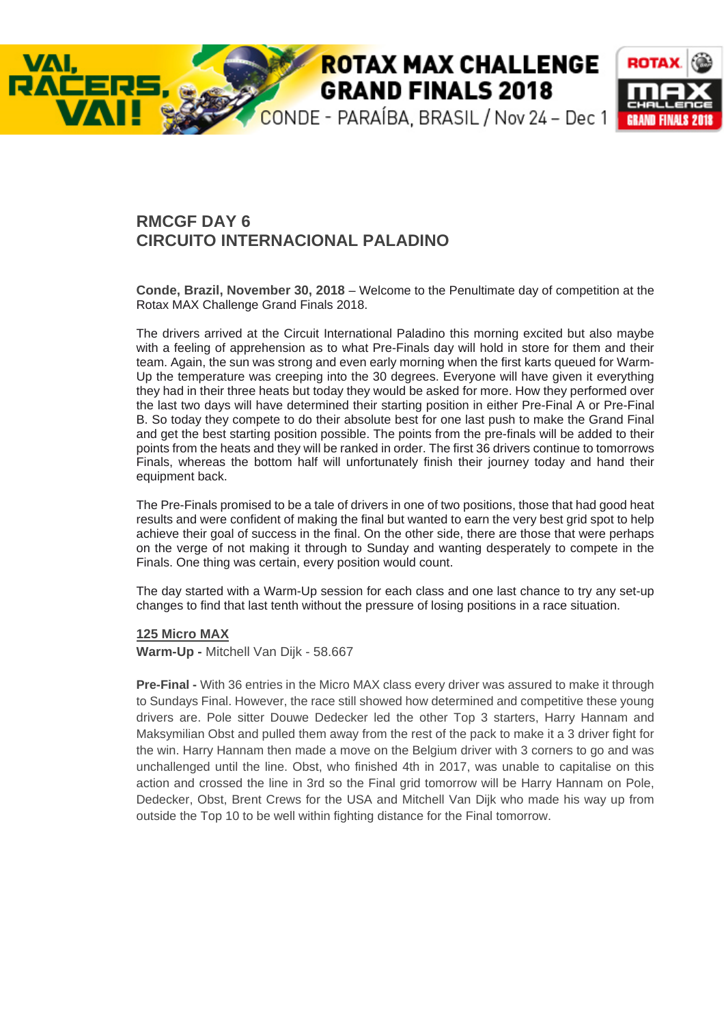# **ROTAX MAX CHALLENGE GRAND FINALS 2018**



# **RMCGF DAY 6 CIRCUITO INTERNACIONAL PALADINO**

**Conde, Brazil, November 30, 2018** – Welcome to the Penultimate day of competition at the Rotax MAX Challenge Grand Finals 2018.

The drivers arrived at the Circuit International Paladino this morning excited but also maybe with a feeling of apprehension as to what Pre-Finals day will hold in store for them and their team. Again, the sun was strong and even early morning when the first karts queued for Warm-Up the temperature was creeping into the 30 degrees. Everyone will have given it everything they had in their three heats but today they would be asked for more. How they performed over the last two days will have determined their starting position in either Pre-Final A or Pre-Final B. So today they compete to do their absolute best for one last push to make the Grand Final and get the best starting position possible. The points from the pre-finals will be added to their points from the heats and they will be ranked in order. The first 36 drivers continue to tomorrows Finals, whereas the bottom half will unfortunately finish their journey today and hand their equipment back.

The Pre-Finals promised to be a tale of drivers in one of two positions, those that had good heat results and were confident of making the final but wanted to earn the very best grid spot to help achieve their goal of success in the final. On the other side, there are those that were perhaps on the verge of not making it through to Sunday and wanting desperately to compete in the Finals. One thing was certain, every position would count.

The day started with a Warm-Up session for each class and one last chance to try any set-up changes to find that last tenth without the pressure of losing positions in a race situation.

## **125 Micro MAX**

**Warm-Up -** Mitchell Van Dijk - 58.667

**Pre-Final -** With 36 entries in the Micro MAX class every driver was assured to make it through to Sundays Final. However, the race still showed how determined and competitive these young drivers are. Pole sitter Douwe Dedecker led the other Top 3 starters, Harry Hannam and Maksymilian Obst and pulled them away from the rest of the pack to make it a 3 driver fight for the win. Harry Hannam then made a move on the Belgium driver with 3 corners to go and was unchallenged until the line. Obst, who finished 4th in 2017, was unable to capitalise on this action and crossed the line in 3rd so the Final grid tomorrow will be Harry Hannam on Pole, Dedecker, Obst, Brent Crews for the USA and Mitchell Van Dijk who made his way up from outside the Top 10 to be well within fighting distance for the Final tomorrow.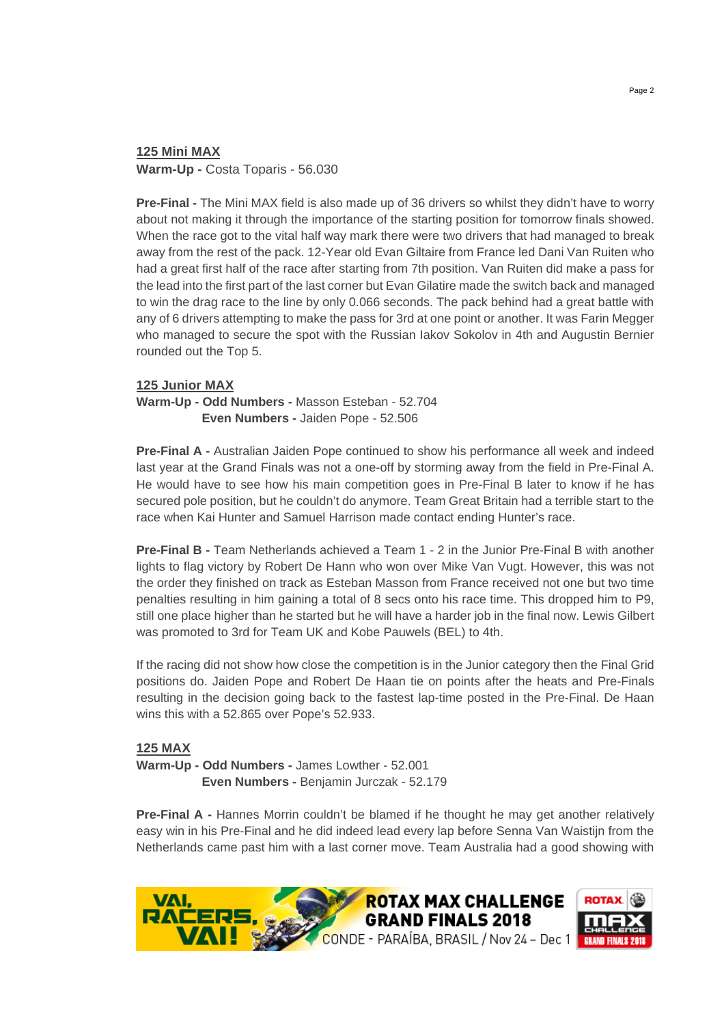# **125 Mini MAX Warm-Up -** Costa Toparis - 56.030

**Pre-Final -** The Mini MAX field is also made up of 36 drivers so whilst they didn't have to worry about not making it through the importance of the starting position for tomorrow finals showed. When the race got to the vital half way mark there were two drivers that had managed to break away from the rest of the pack. 12-Year old Evan Giltaire from France led Dani Van Ruiten who had a great first half of the race after starting from 7th position. Van Ruiten did make a pass for the lead into the first part of the last corner but Evan Gilatire made the switch back and managed to win the drag race to the line by only 0.066 seconds. The pack behind had a great battle with any of 6 drivers attempting to make the pass for 3rd at one point or another. It was Farin Megger who managed to secure the spot with the Russian Iakov Sokolov in 4th and Augustin Bernier rounded out the Top 5.

# **125 Junior MAX**

**Warm-Up - Odd Numbers -** Masson Esteban - 52.704 **Even Numbers -** Jaiden Pope - 52.506

**Pre-Final A -** Australian Jaiden Pope continued to show his performance all week and indeed last year at the Grand Finals was not a one-off by storming away from the field in Pre-Final A. He would have to see how his main competition goes in Pre-Final B later to know if he has secured pole position, but he couldn't do anymore. Team Great Britain had a terrible start to the race when Kai Hunter and Samuel Harrison made contact ending Hunter's race.

**Pre-Final B -** Team Netherlands achieved a Team 1 - 2 in the Junior Pre-Final B with another lights to flag victory by Robert De Hann who won over Mike Van Vugt. However, this was not the order they finished on track as Esteban Masson from France received not one but two time penalties resulting in him gaining a total of 8 secs onto his race time. This dropped him to P9, still one place higher than he started but he will have a harder job in the final now. Lewis Gilbert was promoted to 3rd for Team UK and Kobe Pauwels (BEL) to 4th.

If the racing did not show how close the competition is in the Junior category then the Final Grid positions do. Jaiden Pope and Robert De Haan tie on points after the heats and Pre-Finals resulting in the decision going back to the fastest lap-time posted in the Pre-Final. De Haan wins this with a 52.865 over Pope's 52.933.

# **125 MAX**

**Warm-Up - Odd Numbers -** James Lowther - 52.001 **Even Numbers -** Benjamin Jurczak - 52.179

**Pre-Final A - Hannes Morrin couldn't be blamed if he thought he may get another relatively** easy win in his Pre-Final and he did indeed lead every lap before Senna Van Waistijn from the Netherlands came past him with a last corner move. Team Australia had a good showing with

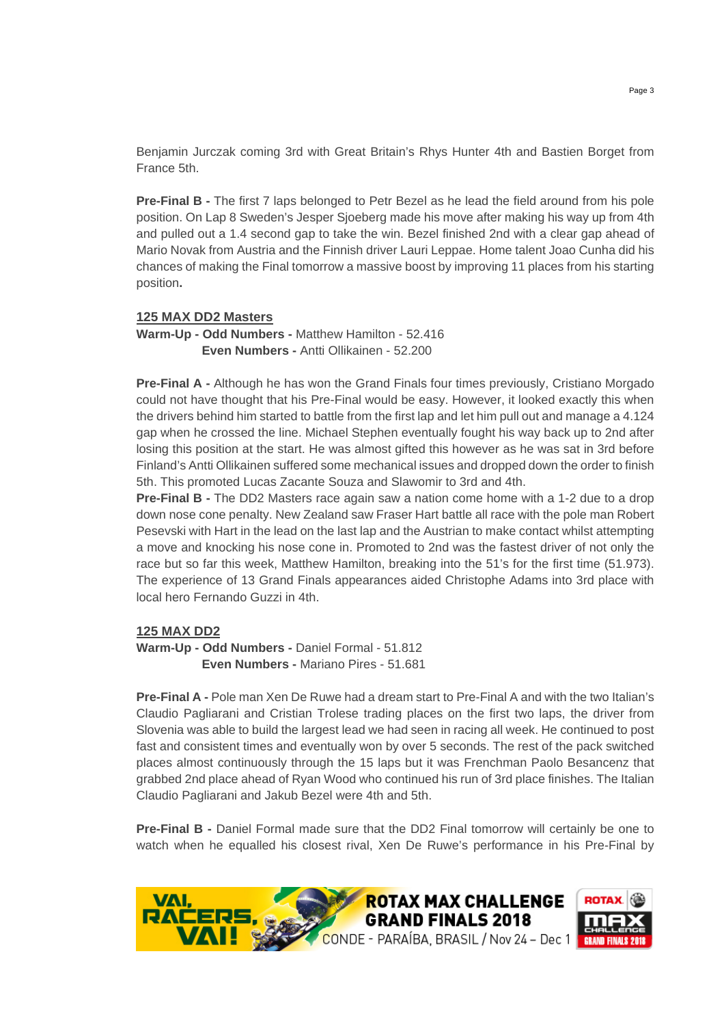Benjamin Jurczak coming 3rd with Great Britain's Rhys Hunter 4th and Bastien Borget from France 5th.

**Pre-Final B -** The first 7 laps belonged to Petr Bezel as he lead the field around from his pole position. On Lap 8 Sweden's Jesper Sjoeberg made his move after making his way up from 4th and pulled out a 1.4 second gap to take the win. Bezel finished 2nd with a clear gap ahead of Mario Novak from Austria and the Finnish driver Lauri Leppae. Home talent Joao Cunha did his chances of making the Final tomorrow a massive boost by improving 11 places from his starting position**.** 

# **125 MAX DD2 Masters**

**Warm-Up - Odd Numbers -** Matthew Hamilton - 52.416 **Even Numbers -** Antti Ollikainen - 52.200

**Pre-Final A -** Although he has won the Grand Finals four times previously, Cristiano Morgado could not have thought that his Pre-Final would be easy. However, it looked exactly this when the drivers behind him started to battle from the first lap and let him pull out and manage a 4.124 gap when he crossed the line. Michael Stephen eventually fought his way back up to 2nd after losing this position at the start. He was almost gifted this however as he was sat in 3rd before Finland's Antti Ollikainen suffered some mechanical issues and dropped down the order to finish 5th. This promoted Lucas Zacante Souza and Slawomir to 3rd and 4th.

**Pre-Final B -** The DD2 Masters race again saw a nation come home with a 1-2 due to a drop down nose cone penalty. New Zealand saw Fraser Hart battle all race with the pole man Robert Pesevski with Hart in the lead on the last lap and the Austrian to make contact whilst attempting a move and knocking his nose cone in. Promoted to 2nd was the fastest driver of not only the race but so far this week, Matthew Hamilton, breaking into the 51's for the first time (51.973). The experience of 13 Grand Finals appearances aided Christophe Adams into 3rd place with local hero Fernando Guzzi in 4th.

## **125 MAX DD2**

**Warm-Up - Odd Numbers -** Daniel Formal - 51.812 **Even Numbers -** Mariano Pires - 51.681

**Pre-Final A -** Pole man Xen De Ruwe had a dream start to Pre-Final A and with the two Italian's Claudio Pagliarani and Cristian Trolese trading places on the first two laps, the driver from Slovenia was able to build the largest lead we had seen in racing all week. He continued to post fast and consistent times and eventually won by over 5 seconds. The rest of the pack switched places almost continuously through the 15 laps but it was Frenchman Paolo Besancenz that grabbed 2nd place ahead of Ryan Wood who continued his run of 3rd place finishes. The Italian Claudio Pagliarani and Jakub Bezel were 4th and 5th.

**Pre-Final B -** Daniel Formal made sure that the DD2 Final tomorrow will certainly be one to watch when he equalled his closest rival, Xen De Ruwe's performance in his Pre-Final by

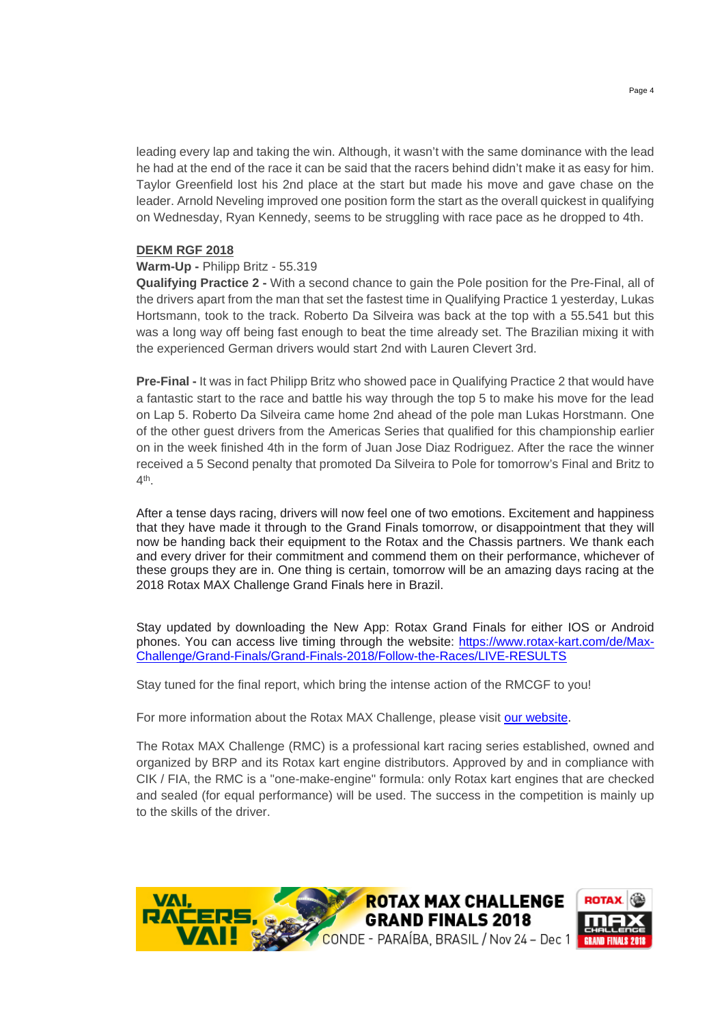leading every lap and taking the win. Although, it wasn't with the same dominance with the lead he had at the end of the race it can be said that the racers behind didn't make it as easy for him. Taylor Greenfield lost his 2nd place at the start but made his move and gave chase on the leader. Arnold Neveling improved one position form the start as the overall quickest in qualifying on Wednesday, Ryan Kennedy, seems to be struggling with race pace as he dropped to 4th.

#### **DEKM RGF 2018**

#### **Warm-Up -** Philipp Britz - 55.319

**Qualifying Practice 2 -** With a second chance to gain the Pole position for the Pre-Final, all of the drivers apart from the man that set the fastest time in Qualifying Practice 1 yesterday, Lukas Hortsmann, took to the track. Roberto Da Silveira was back at the top with a 55.541 but this was a long way off being fast enough to beat the time already set. The Brazilian mixing it with the experienced German drivers would start 2nd with Lauren Clevert 3rd.

**Pre-Final -** It was in fact Philipp Britz who showed pace in Qualifying Practice 2 that would have a fantastic start to the race and battle his way through the top 5 to make his move for the lead on Lap 5. Roberto Da Silveira came home 2nd ahead of the pole man Lukas Horstmann. One of the other guest drivers from the Americas Series that qualified for this championship earlier on in the week finished 4th in the form of Juan Jose Diaz Rodriguez. After the race the winner received a 5 Second penalty that promoted Da Silveira to Pole for tomorrow's Final and Britz to 4th.

After a tense days racing, drivers will now feel one of two emotions. Excitement and happiness that they have made it through to the Grand Finals tomorrow, or disappointment that they will now be handing back their equipment to the Rotax and the Chassis partners. We thank each and every driver for their commitment and commend them on their performance, whichever of these groups they are in. One thing is certain, tomorrow will be an amazing days racing at the 2018 Rotax MAX Challenge Grand Finals here in Brazil.

Stay updated by downloading the New App: Rotax Grand Finals for either IOS or Android phones. You can access live timing through the website: https://www.rotax-kart.com/de/Max-Challenge/Grand-Finals/Grand-Finals-2018/Follow-the-Races/LIVE-RESULTS

Stay tuned for the final report, which bring the intense action of the RMCGF to you!

For more information about the Rotax MAX Challenge, please visit our website.

The Rotax MAX Challenge (RMC) is a professional kart racing series established, owned and organized by BRP and its Rotax kart engine distributors. Approved by and in compliance with CIK / FIA, the RMC is a "one-make-engine" formula: only Rotax kart engines that are checked and sealed (for equal performance) will be used. The success in the competition is mainly up to the skills of the driver.